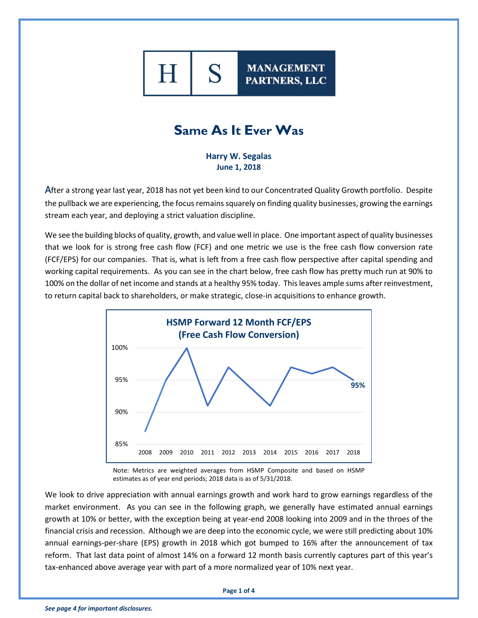

## **Same As It Ever Was**

**Harry W. Segalas June 1, 2018**

After a strong year last year, 2018 has not yet been kind to our Concentrated Quality Growth portfolio. Despite the pullback we are experiencing, the focus remains squarely on finding quality businesses, growing the earnings stream each year, and deploying a strict valuation discipline.

We see the building blocks of quality, growth, and value well in place. One important aspect of quality businesses that we look for is strong free cash flow (FCF) and one metric we use is the free cash flow conversion rate (FCF/EPS) for our companies. That is, what is left from a free cash flow perspective after capital spending and working capital requirements. As you can see in the chart below, free cash flow has pretty much run at 90% to 100% on the dollar of net income and stands at a healthy 95% today. This leaves ample sums after reinvestment, to return capital back to shareholders, or make strategic, close-in acquisitions to enhance growth.



Note: Metrics are weighted averages from HSMP Composite and based on HSMP estimates as of year end periods; 2018 data is as of 5/31/2018.

We look to drive appreciation with annual earnings growth and work hard to grow earnings regardless of the market environment. As you can see in the following graph, we generally have estimated annual earnings growth at 10% or better, with the exception being at year-end 2008 looking into 2009 and in the throes of the financial crisis and recession. Although we are deep into the economic cycle, we were still predicting about 10% annual earnings-per-share (EPS) growth in 2018 which got bumped to 16% after the announcement of tax reform. That last data point of almost 14% on a forward 12 month basis currently captures part of this year's tax-enhanced above average year with part of a more normalized year of 10% next year.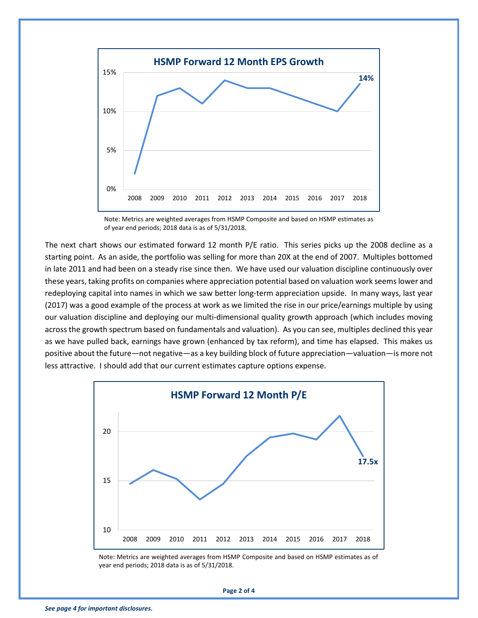

Note: Metrics are weighted averages from HSMP Composite and based on HSMP estimates as of year end periods; 2018 data is as of 5/31/2018.

The next chart shows our estimated forward 12 month P/E ratio. This series picks up the 2008 decline as a starting point. As an aside, the portfolio was selling for more than 20X at the end of 2007. Multiples bottomed in late 2011 and had been on a steady rise since then. We have used our valuation discipline continuously over these years, taking profits on companies where appreciation potential based on valuation work seems lower and redeploying capital into names in which we saw better long-term appreciation upside. In many ways, last year (2017) was a good example of the process at work as we limited the rise in our price/earnings multiple by using our valuation discipline and deploying our multi-dimensional quality growth approach (which includes moving across the growth spectrum based on fundamentals and valuation). As you can see, multiples declined this year as we have pulled back, earnings have grown (enhanced by tax reform), and time has elapsed. This makes us positive about the future—not negative—as a key building block of future appreciation—valuation—is more not less attractive. I should add that our current estimates capture options expense.



Note: Metrics are weighted averages from HSMP Composite and based on HSMP estimates as of year end periods; 2018 data is as of 5/31/2018.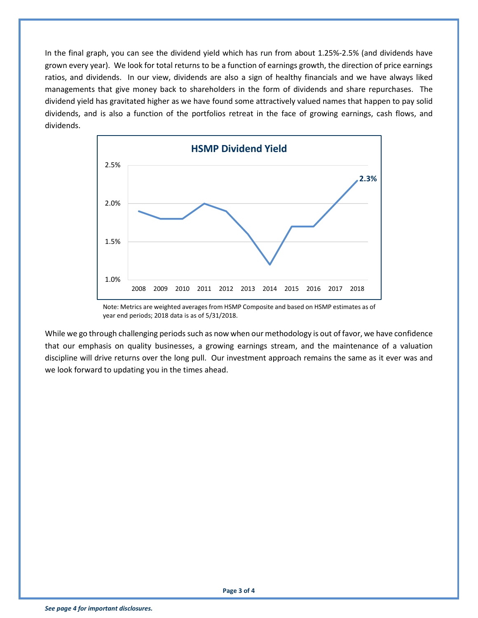In the final graph, you can see the dividend yield which has run from about 1.25%-2.5% (and dividends have grown every year). We look for total returns to be a function of earnings growth, the direction of price earnings ratios, and dividends. In our view, dividends are also a sign of healthy financials and we have always liked managements that give money back to shareholders in the form of dividends and share repurchases. The dividend yield has gravitated higher as we have found some attractively valued names that happen to pay solid dividends, and is also a function of the portfolios retreat in the face of growing earnings, cash flows, and dividends.



Note: Metrics are weighted averages from HSMP Composite and based on HSMP estimates as of year end periods; 2018 data is as of 5/31/2018.

While we go through challenging periods such as now when our methodology is out of favor, we have confidence that our emphasis on quality businesses, a growing earnings stream, and the maintenance of a valuation discipline will drive returns over the long pull. Our investment approach remains the same as it ever was and we look forward to updating you in the times ahead.